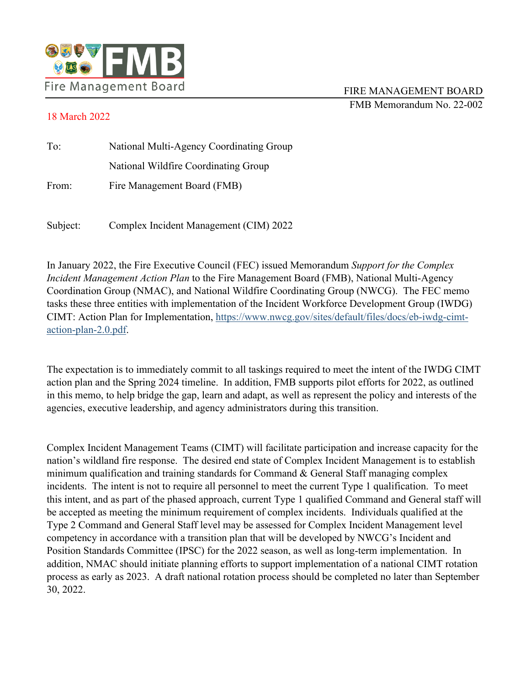

## 18 March 2022

| To:   | National Multi-Agency Coordinating Group |
|-------|------------------------------------------|
|       | National Wildfire Coordinating Group     |
| From: | Fire Management Board (FMB)              |
|       |                                          |

Subject: Complex Incident Management (CIM) 2022

In January 2022, the Fire Executive Council (FEC) issued Memorandum *Support for the Complex Incident Management Action Plan* to the Fire Management Board (FMB), National Multi-Agency Coordination Group (NMAC), and National Wildfire Coordinating Group (NWCG). The FEC memo tasks these three entities with implementation of the Incident Workforce Development Group (IWDG) CIMT: Action Plan for Implementation, [https://www.nwcg.gov/sites/default/files/docs/eb-iwdg-cimt](https://www.nwcg.gov/sites/default/files/docs/eb-iwdg-cimt-action-plan-2.0.pdf)[action-plan-2.0.pdf.](https://www.nwcg.gov/sites/default/files/docs/eb-iwdg-cimt-action-plan-2.0.pdf)

The expectation is to immediately commit to all taskings required to meet the intent of the IWDG CIMT action plan and the Spring 2024 timeline. In addition, FMB supports pilot efforts for 2022, as outlined in this memo, to help bridge the gap, learn and adapt, as well as represent the policy and interests of the agencies, executive leadership, and agency administrators during this transition.

Complex Incident Management Teams (CIMT) will facilitate participation and increase capacity for the nation's wildland fire response. The desired end state of Complex Incident Management is to establish minimum qualification and training standards for Command & General Staff managing complex incidents. The intent is not to require all personnel to meet the current Type 1 qualification. To meet this intent, and as part of the phased approach, current Type 1 qualified Command and General staff will be accepted as meeting the minimum requirement of complex incidents. Individuals qualified at the Type 2 Command and General Staff level may be assessed for Complex Incident Management level competency in accordance with a transition plan that will be developed by NWCG's Incident and Position Standards Committee (IPSC) for the 2022 season, as well as long-term implementation. In addition, NMAC should initiate planning efforts to support implementation of a national CIMT rotation process as early as 2023. A draft national rotation process should be completed no later than September 30, 2022.